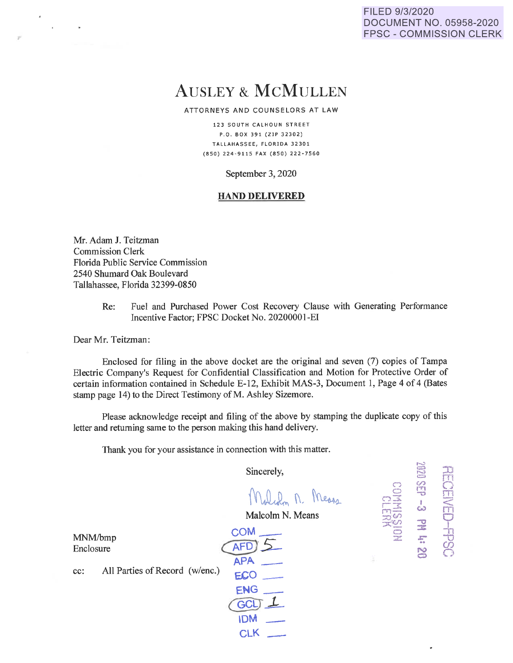### FILED 9/3/2020 DOCUMENT NO. 05958-2020 FPSC - COMMISSION CLERK

# AUSLEY & McMULLEN

ATTORNEYS AND COUNSELORS AT LAW

123 SOUTH CALHOUN STREET P.O . BOX 391 {ZlP 32302) TALLAHASSEE, FLORIDA 32301 (850) 224 - 9115 FAX (850) 222-7560

September 3, 2020

#### **HAND DELIVERED**

Mr. Adam J. Teitzman Commission Clerk Florida Public Service Commission 2540 Shumard Oak Boulevard Tallahassee, Florida 32399-0850

> Re: Fuel and Purchased Power Cost Recovery Clause with Generating Performance Incentive Factor; FPSC Docket No. 20200001-EI

Dear Mr. Teitzman:

*r* 

Enclosed for filing in the above docket are the original and seven (7) copies of Tampa Electric Company's Request for Confidential Classification and Motion for Protective Order of certain information contained in Schedule E-12, Exhibit MAS-3, Document 1, Page 4 of 4 (Bates stamp page 14) to the Direct Testimony of M. Ashley Sizemore.

Please acknowledge receipt and filing of the above by stamping the duplicate copy of this letter and returning same to the person making this hand delivery.

Thank you for your assistance in connection with this matter.

Sincerely,

Malch M. Means

 $\bigcirc$  $\subset$  $\cap$  3. r-:.t rri- <u>း</u>တွယ ?t:~  $\qquad \qquad \qquad \qquad \Box$ z

r-..l  $\epsilon$  and  $\epsilon$  $\Xi$  .  $\Xi$ <sup>=</sup>rn (/) 0 **fTI -0** m

 $\stackrel{\text{\tiny 1}}{\circledcirc}$   $\stackrel{\text{\tiny 2}}{\circledcirc}$ ...,, 0 **::J:** <sup>l</sup> *z:""* =B

.. CJ) **N)** c) **c::>** .....

Malcolm N. Means

MNM/bmp Enclosure

cc: All Parties of Record (w/enc.) coM\_ AFD. **APA**  e.co \_ **ENG\_**   $GCL$ **IDM** -

**CLK**  $-$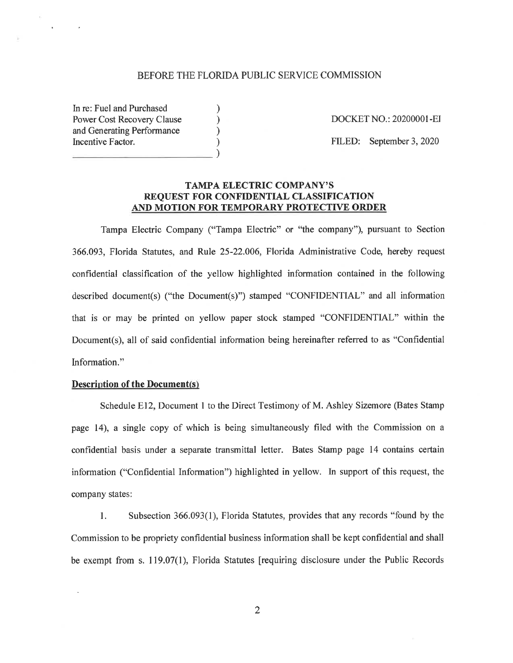#### BEFORE THE FLORIDA PUBLIC SERVICE COMMISSION

) ) ) )

In re: Fuel and Purchased Power Cost Recovery Clause and Generating Performance Incentive Factor.  $\qquad \qquad$ 

DOCKET NO.: 20200001-EJ

FILED: September 3, 2020

# **TAMPA ELECTRIC COMPANY'S REQUEST FOR CONFIDENTIAL CLASSIFICATION AND MOTION FOR TEMPORARY PROTECTIVE ORDER**

Tampa Electric Company ("Tampa Electric" or ''the company"), pursuant to Section 366.093, Florida Statutes, and Rule 25-22.006, Florida Administrative Code, hereby request confidential classification of the yellow highlighted information contained in the following described document(s) ("the Document(s)") stamped "CONFIDENTIAL" and all information that is or may be printed on yellow paper stock stamped "CONFIDENTIAL" within the Document(s), all of said confidential information being hereinafter referred to as "Confidential Information."

#### **Description of the Document(s)**

 $\ddot{\phantom{a}}$ 

Schedule E12, Document 1 to the Direct Testimony of M. Ashley Sizemore (Bates Stamp page 14), a single copy of which is being simultaneously filed with the Commission on a confidential basis under a separate transmittal letter. Bates Stamp page 14 contains certain information ("Confidential Information") highlighted in yellow. In support of this request, the company states:

1. Subsection 366.093(1), Florida Statutes, provides that any records "found by the Commission to be propriety confidential business information shall be kept confidential and shall be exempt from s. 119.07(1), Florida Statutes [requiring disclosure under the Public Records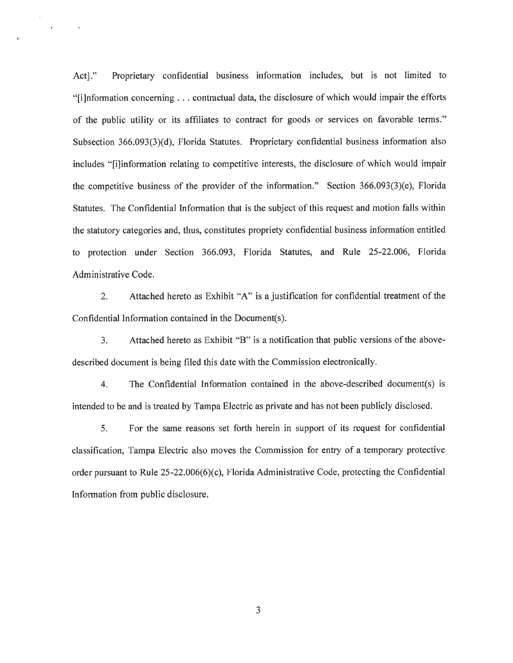Act]." Proprietary confidential business information includes, but is not limited to "[i]nformation concerning ... contractual data, the disclosure of which would impair the efforts of the public utility or its affiliates to contract for goods or services on favorable terms." Subsection 366.093(3)(d), Florida Statutes. Proprietary confidential business information also includes "[i]information relating to competitive interests, the disclosure of which would impair the competitive business of the provider of the information." Section 366.093(3)(e), Florida Statutes. The Confidential Information that is the subject of this request and motion falls within the statutory categories and, thus, constitutes propriety confidential business information entitled to protection under Section 366.093, Florida Statutes, and Rule 25-22.006, Florida Administrative Code.

i·

 $\epsilon$ 

 $\bar{1}$ 

2. Attached hereto as Exhibit "A" is a justification for confidential treatment of the Confidential Information contained in the Document(s).

3. Attached hereto as Exhibit "B" is a notification that public versions of the abovedescribed document is being filed this date with the Commission electronically.

4. The Confidential Information contained in the above-described document(s) is intended to be and is treated by Tampa Electric as private and has not been publicly disclosed.

5. For the same reasons set forth herein in support of its request for confidential classification, Tampa Electric also moves the Commission for entry of a temporary protective order pursuant to Rule 25-22.006(6)(c), Florida Administrative Code, protecting the Confidential Information from public disclosure.

3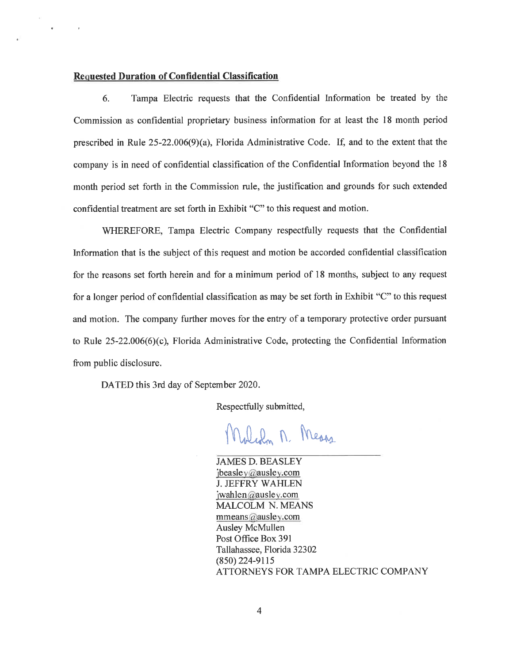#### **Requested Duration of Confidential Classification**

 $\epsilon$ 

6. Tampa Electric requests that the Confidential Information be treated by the Commission as confidential proprietary business information for at least the 18 month period prescribed in Rule 25-22.006(9)(a), Florida Administrative Code. If, and to the extent that the company is in need of confidential classification of the Confidential Information beyond the 18 month period set forth in the Commission rule, the justification and grounds for such extended confidential treatment are set forth in Exhibit "C" to this request and motion.

WHEREFORE, Tampa Electric Company respectfully requests that the Confidential Information that is the subject of this request and motion be accorded confidential classification for the reasons set forth herein and for a minimum period of 18 months, subject to any request for a longer period of confidential classification as may be set forth in Exhibit "C" to this request and motion. The company further moves for the entry of a temporary protective order pursuant to Rule 25-22.006(6)(c), Florida Administrative Code, protecting the Confidential Information from public disclosure.

DATED this 3rd day of September 2020.

Respectfully submitted,

Weden M. Means

JAMES D. BEASLEY  $j$ beasley@ausley.com J. JEFFRY WAHLEN  $jwahlen@ausley.com$ MALCOLM N. MEANS mmeans@ausley.com Ausley McMullen Post Office Box 391 Tallahassee, Florida 32302 (850) 224-9115 ATTORNEYS FOR TAMPA ELECTRIC COMPANY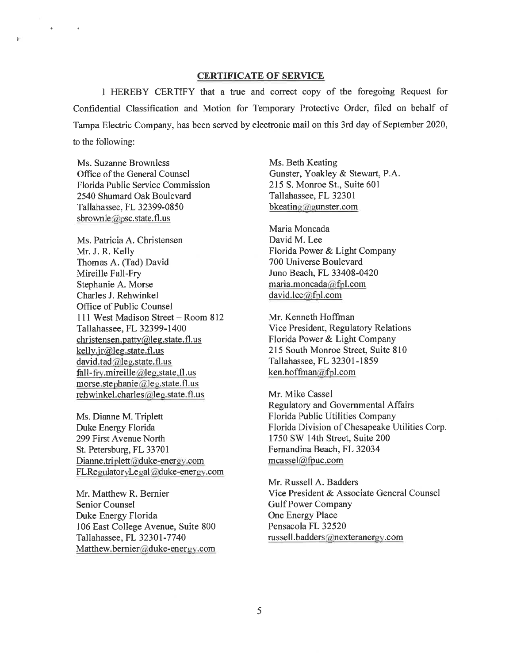#### **CERTIFICATE OF SERVICE**

I HEREBY CERTIFY that a true and correct copy of the foregoing Request for Confidential Classification and Motion for Temporary Protective Order, filed on behalf of Tampa Electric Company, has been served by electronic mail on this 3rd day of September 2020, to the following:

Ms. Suzanne Brownless Office of the General Counsel Florida Public Service Commission 2540 Shumard Oak Boulevard Tallahassee, FL 32399-0850 sbrownle@psc.state.fl.us

 $\mathbf{a} = \mathbf{a} \times \mathbf{a}$ 

 $\mathbf{F}$ 

Ms. Patricia A. Christensen Mr. J. R. Kelly Thomas A. (Tad) David Mireille Fall-Fry Stephanie A. Morse Charles J. Rehwinkel Office of Public Counsel 111 West Madison Street-Room 812 Tallahassee, FL 32399-1400 christensen.patty@leg.state.fl.us kelly.jr@leg.state.fl.us david.tad@leg.state.fl.us fall-fry .mireille@leg.state,fl.us morse.stephanie@leg.state.fl.us rehwinkel.charles@leg.state.fl.us

Ms. Dianne M. Triplett Duke Energy Florida 299 First Avenue North St. Petersburg, FL 33701 Dianne.triplett@duke-energy.com FLRegulatoryLegal@duke-energy.com

Mr. Matthew R. Bernier Senior Counsel Duke Energy Florida 106 East College A venue, Suite 800 Tallahassee, FL 32301-7740 Matthew. bernier@duke-energy.com

Ms. Beth Keating Gunster, Yoakley & Stewart, P.A. 215 S. Monroe St., Suite 601 Tallahassee, FL 32301 bkeating@gunster.com

Maria Moncada David M. Lee Florida Power & Light Company 700 Universe Boulevard Juno Beach, FL 33408-0420 maria.moncada@fpl.com david.Iee@fpl.com

Mr. Kenneth Hoffman Vice President, Regulatory Relations Florida Power & Light Company 215 South Monroe Street, Suite 810 Tallahassee, FL 32301-1859 ken.hoffman@fpl.com

Mr. Mike Cassel Regulatory and Governmental Affairs Florida Public Utilities Company Florida Division of Chesapeake Utilities Corp. 1750 SW 14th Street, Suite 200 Fernandina Beach, FL 32034 mcassel@fpuc.com

Mr. Russell A. Badders Vice President & Associate General Counsel Gulf Power Company One Energy Place Pensacola FL 32520 russell.badders@nexteranergy.com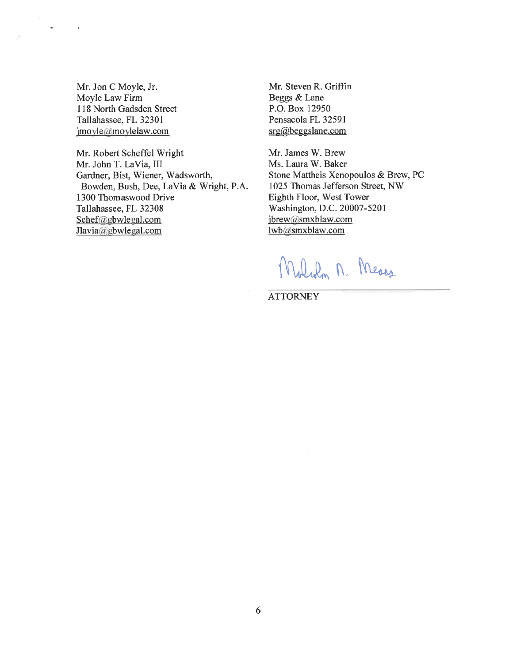Mr. Jon C Moyle, Jr. Moyle Law Firm 118 North Gadsden Street Tallahassee, FL 32301 imoyle@moylelaw.com

 $\omega_{\rm{max}}$ 

 $\bar{\mathbf{r}}$ 

Mr. Robert Scheffel Wright Mr. John T. La Via, III Gardner, Bist, Wiener, Wadsworth, Bowden, Bush, Dee, La Via & Wright, P.A. 1300 Thomaswood Drive Tallahassee, FL 32308 Schef@gbwlegal.com Jlavia@gbwlegal.com

Mr. Steven R. Griffin Beggs & Lane P.O. Box 12950 Pensacola FL 32591 srg@beggslane.com

Mr. James W. Brew Ms. Laura W. Baker Stone Mattheis Xenopoulos & Brew, PC 1025 Thomas Jefferson Street, NW Eighth Floor, West Tower Washington, D.C. 20007-5201 jbrew@smxblaw.com lwb@smxblaw.com

Malch M. Means

**ATTORNEY**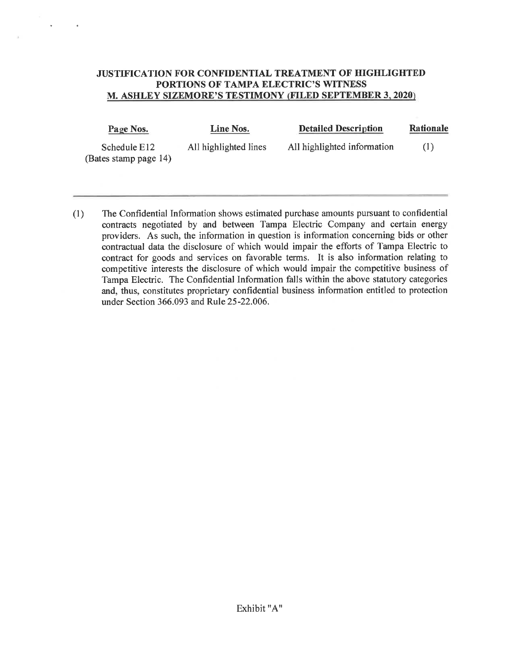# **JUSTIFICATION FOR CONFIDENTIAL TREATMENT OF HIGHLIGHTED PORTIONS OF TAMPA ELECTRIC'S WITNESS M. ASHLEY SIZEMORE'S TESTIMONY (FILED SEPTEMBER 3, 2020)**

 $\epsilon$ 

| Page Nos.                             | Line Nos.             | <b>Detailed Description</b> | Rationale |
|---------------------------------------|-----------------------|-----------------------------|-----------|
| Schedule E12<br>(Bates stamp page 14) | All highlighted lines | All highlighted information | (1)       |

(1) The Confidential Information shows estimated purchase amounts pursuant to confidential contracts negotiated by and between Tampa Electric Company and certain energy providers. As such, the information in question is information concerning bids or other contractual data the disclosure of which would impair the efforts of Tampa Electric to contract for goods and services on favorable terms. It is also information relating to competitive interests the disclosure of which would impair the competitive business of Tampa Electric. The Confidential Information falls within the above statutory categories and, thus, constitutes proprietary confidential business information entitled to protection under Section 366.093 and Rule 25-22.006.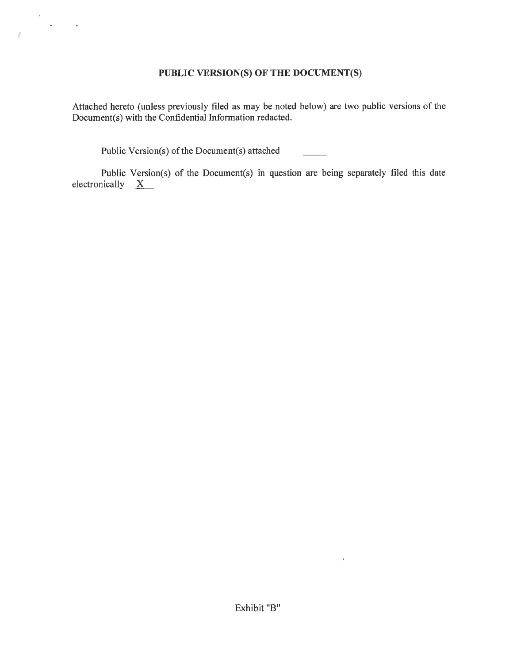# **PUBLIC VERSION(S) OF THE DOCUMENT(S)**

Attached hereto (unless previously filed as may be noted below) are two public versions of the Document(s) with the Confidential Information redacted.

Public Version(s) of the Document(s) attached

*I* 

Public Version(s) of the Document(s) in question are being separately filed this date electronically  $X$ 

 $\sim 0.01$  .